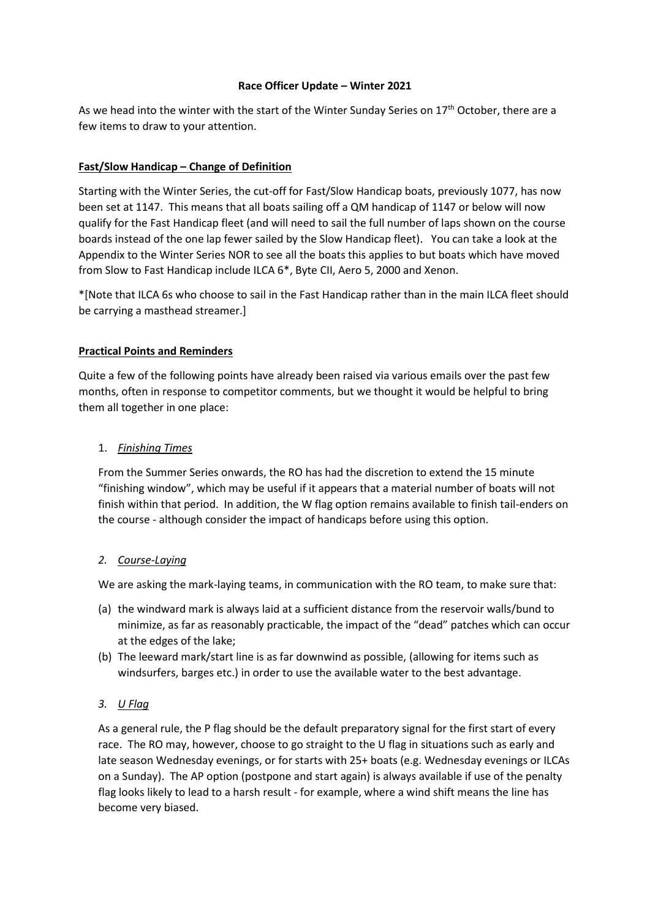#### **Race Officer Update – Winter 2021**

As we head into the winter with the start of the Winter Sunday Series on 17<sup>th</sup> October, there are a few items to draw to your attention.

## **Fast/Slow Handicap – Change of Definition**

Starting with the Winter Series, the cut-off for Fast/Slow Handicap boats, previously 1077, has now been set at 1147. This means that all boats sailing off a QM handicap of 1147 or below will now qualify for the Fast Handicap fleet (and will need to sail the full number of laps shown on the course boards instead of the one lap fewer sailed by the Slow Handicap fleet). You can take a look at the Appendix to the Winter Series NOR to see all the boats this applies to but boats which have moved from Slow to Fast Handicap include ILCA 6\*, Byte CII, Aero 5, 2000 and Xenon.

\*[Note that ILCA 6s who choose to sail in the Fast Handicap rather than in the main ILCA fleet should be carrying a masthead streamer.]

### **Practical Points and Reminders**

Quite a few of the following points have already been raised via various emails over the past few months, often in response to competitor comments, but we thought it would be helpful to bring them all together in one place:

### 1. *Finishing Times*

From the Summer Series onwards, the RO has had the discretion to extend the 15 minute "finishing window", which may be useful if it appears that a material number of boats will not finish within that period. In addition, the W flag option remains available to finish tail-enders on the course - although consider the impact of handicaps before using this option.

#### *2. Course-Laying*

We are asking the mark-laying teams, in communication with the RO team, to make sure that:

- (a) the windward mark is always laid at a sufficient distance from the reservoir walls/bund to minimize, as far as reasonably practicable, the impact of the "dead" patches which can occur at the edges of the lake;
- (b) The leeward mark/start line is as far downwind as possible, (allowing for items such as windsurfers, barges etc.) in order to use the available water to the best advantage.

## *3. U Flag*

As a general rule, the P flag should be the default preparatory signal for the first start of every race. The RO may, however, choose to go straight to the U flag in situations such as early and late season Wednesday evenings, or for starts with 25+ boats (e.g. Wednesday evenings or ILCAs on a Sunday). The AP option (postpone and start again) is always available if use of the penalty flag looks likely to lead to a harsh result - for example, where a wind shift means the line has become very biased.